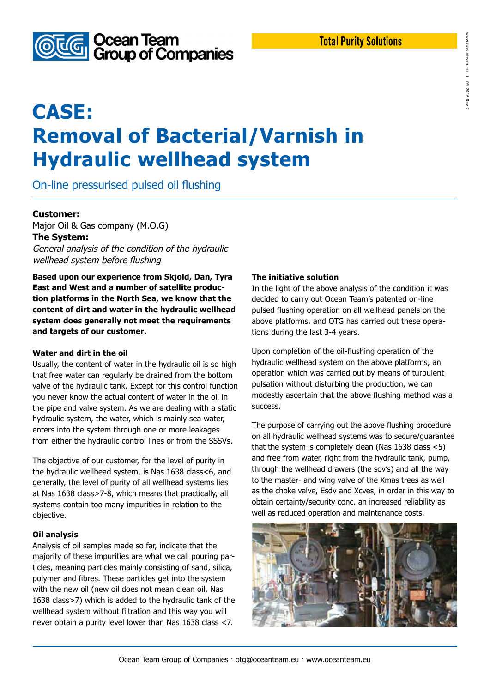that the system is completely clean (Nas 1638 class <5) and free from water, right from the hydraulic tank, pump, through the wellhead drawers (the sov's) and all the way to the master- and wing valve of the Xmas trees as well as the choke valve, Esdv and Xcves, in order in this way to obtain certainty/security conc. an increased reliability as well as reduced operation and maintenance costs.

### **Total Purity Solutions**

www.oceanteam.eu

www.oceanteam.eu

**I** 

09.2016 Rev 2

09.2016 Rev

# **CASE: Removal of Bacterial/Varnish in Hydraulic wellhead system**

On-line pressurised pulsed oil flushing

### **Customer:**

Major Oil & Gas company (M.O.G) **The System:** General analysis of the condition of the hydraulic

wellhead system before flushing

**Based upon our experience from Skjold, Dan, Tyra East and West and a number of satellite production platforms in the North Sea, we know that the content of dirt and water in the hydraulic wellhead system does generally not meet the requirements and targets of our customer.**

#### **Water and dirt in the oil**

Usually, the content of water in the hydraulic oil is so high that free water can regularly be drained from the bottom valve of the hydraulic tank. Except for this control function you never know the actual content of water in the oil in the pipe and valve system. As we are dealing with a static hydraulic system, the water, which is mainly sea water, enters into the system through one or more leakages from either the hydraulic control lines or from the SSSVs.

The objective of our customer, for the level of purity in the hydraulic wellhead system, is Nas 1638 class<6, and generally, the level of purity of all wellhead systems lies at Nas 1638 class>7-8, which means that practically, all systems contain too many impurities in relation to the objective.

### **Oil analysis**

Analysis of oil samples made so far, indicate that the majority of these impurities are what we call pouring particles, meaning particles mainly consisting of sand, silica, polymer and fibres. These particles get into the system with the new oil (new oil does not mean clean oil, Nas 1638 class>7) which is added to the hydraulic tank of the wellhead system without filtration and this way you will never obtain a purity level lower than Nas 1638 class <7.

### **The initiative solution**

In the light of the above analysis of the condition it was decided to carry out Ocean Team's patented on-line pulsed flushing operation on all wellhead panels on the above platforms, and OTG has carried out these operations during the last 3-4 years.

Upon completion of the oil-flushing operation of the hydraulic wellhead system on the above platforms, an operation which was carried out by means of turbulent pulsation without disturbing the production, we can modestly ascertain that the above flushing method was a success.

The purpose of carrying out the above flushing procedure on all hydraulic wellhead systems was to secure/guarantee



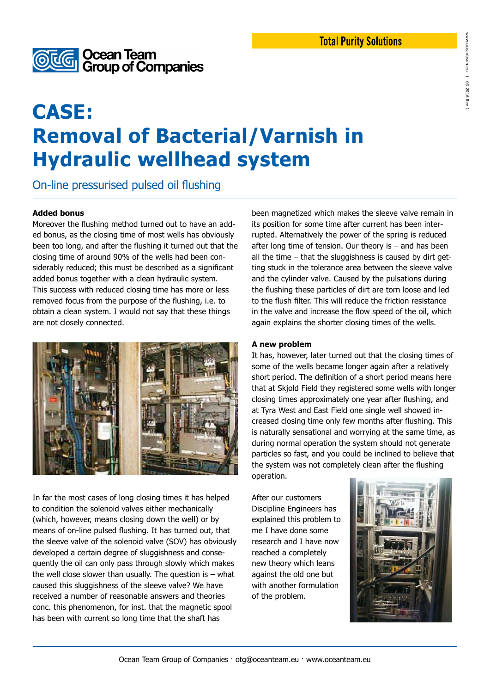

### www.oceanteam.eu www.oceanteam.eu **I** 03.2016 03.2016 Rev 1 Rev

### **CASE: Removal of Bacterial/Varnish in Hydraulic wellhead system**

On-line pressurised pulsed oil flushing

### **Added bonus**

Moreover the flushing method turned out to have an added bonus, as the closing time of most wells has obviously been too long, and after the flushing it turned out that the closing time of around 90% of the wells had been considerably reduced; this must be described as a significant added bonus together with a clean hydraulic system. This success with reduced closing time has more or less removed focus from the purpose of the flushing, i.e. to obtain a clean system. I would not say that these things are not closely connected.



In far the most cases of long closing times it has helped to condition the solenoid valves either mechanically (which, however, means closing down the well) or by means of on-line pulsed flushing. It has turned out, that the sleeve valve of the solenoid valve (SOV) has obviously developed a certain degree of sluggishness and consequently the oil can only pass through slowly which makes the well close slower than usually. The question is  $-$  what caused this sluggishness of the sleeve valve? We have received a number of reasonable answers and theories conc. this phenomenon, for inst. that the magnetic spool has been with current so long time that the shaft has

been magnetized which makes the sleeve valve remain in its position for some time after current has been interrupted. Alternatively the power of the spring is reduced after long time of tension. Our theory is – and has been all the time – that the sluggishness is caused by dirt getting stuck in the tolerance area between the sleeve valve and the cylinder valve. Caused by the pulsations during the flushing these particles of dirt are torn loose and led to the flush filter. This will reduce the friction resistance in the valve and increase the flow speed of the oil, which again explains the shorter closing times of the wells.

### **A new problem**

It has, however, later turned out that the closing times of some of the wells became longer again after a relatively short period. The definition of a short period means here that at Skjold Field they registered some wells with longer closing times approximately one year after flushing, and at Tyra West and East Field one single well showed increased closing time only few months after flushing. This is naturally sensational and worrying at the same time, as during normal operation the system should not generate particles so fast, and you could be inclined to believe that the system was not completely clean after the flushing operation.

After our customers Discipline Engineers has explained this problem to me I have done some research and I have now reached a completely new theory which leans against the old one but with another formulation of the problem.

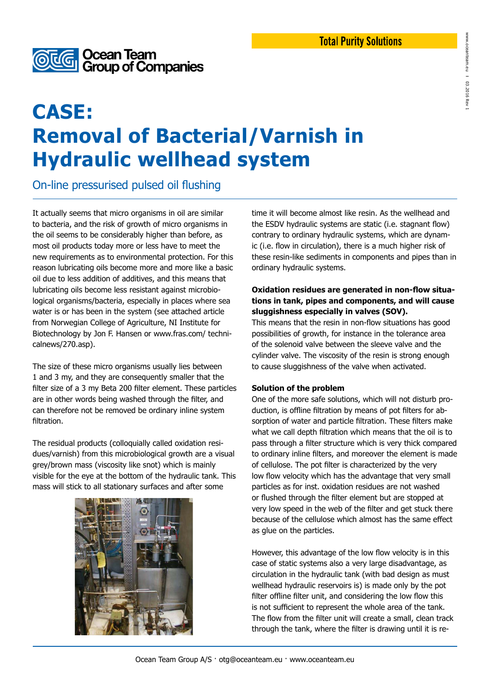

## **CASE: Removal of Bacterial/Varnish in Hydraulic wellhead system**

On-line pressurised pulsed oil flushing

It actually seems that micro organisms in oil are similar to bacteria, and the risk of growth of micro organisms in the oil seems to be considerably higher than before, as most oil products today more or less have to meet the new requirements as to environmental protection. For this reason lubricating oils become more and more like a basic oil due to less addition of additives, and this means that lubricating oils become less resistant against microbiological organisms/bacteria, especially in places where sea water is or has been in the system (see attached article from Norwegian College of Agriculture, NI Institute for Biotechnology by Jon F. Hansen or www.fras.com/ technicalnews/270.asp).

The size of these micro organisms usually lies between 1 and 3 my, and they are consequently smaller that the filter size of a 3 my Beta 200 filter element. These particles are in other words being washed through the filter, and can therefore not be removed be ordinary inline system filtration.

The residual products (colloquially called oxidation residues/varnish) from this microbiological growth are a visual grey/brown mass (viscosity like snot) which is mainly visible for the eye at the bottom of the hydraulic tank. This mass will stick to all stationary surfaces and after some



time it will become almost like resin. As the wellhead and the ESDV hydraulic systems are static (i.e. stagnant flow) contrary to ordinary hydraulic systems, which are dynamic (i.e. flow in circulation), there is a much higher risk of these resin-like sediments in components and pipes than in ordinary hydraulic systems.

### **Oxidation residues are generated in non-flow situations in tank, pipes and components, and will cause sluggishness especially in valves (SOV).**

This means that the resin in non-flow situations has good possibilities of growth, for instance in the tolerance area of the solenoid valve between the sleeve valve and the cylinder valve. The viscosity of the resin is strong enough to cause sluggishness of the valve when activated.

### **Solution of the problem**

One of the more safe solutions, which will not disturb production, is offline filtration by means of pot filters for absorption of water and particle filtration. These filters make what we call depth filtration which means that the oil is to pass through a filter structure which is very thick compared to ordinary inline filters, and moreover the element is made of cellulose. The pot filter is characterized by the very low flow velocity which has the advantage that very small particles as for inst. oxidation residues are not washed or flushed through the filter element but are stopped at very low speed in the web of the filter and get stuck there because of the cellulose which almost has the same effect as glue on the particles.

However, this advantage of the low flow velocity is in this case of static systems also a very large disadvantage, as circulation in the hydraulic tank (with bad design as must wellhead hydraulic reservoirs is) is made only by the pot filter offline filter unit, and considering the low flow this is not sufficient to represent the whole area of the tank. The flow from the filter unit will create a small, clean track through the tank, where the filter is drawing until it is re-